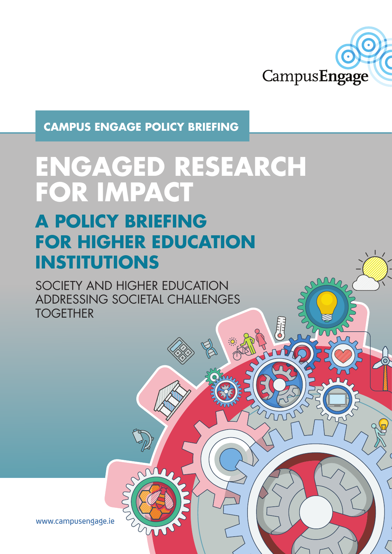

**CAMPUS ENGAGE POLICY BRIEFING**

# **ENGAGED RESEARCH FOR IMPACT**

# **A POLICY BRIEFING FOR HIGHER EDUCATION INSTITUTIONS**

SOCIETY AND HIGHER EDUCATION ADDRESSING SOCIETAL CHALLENGES **TOGETHER** 

www.campusengage.ie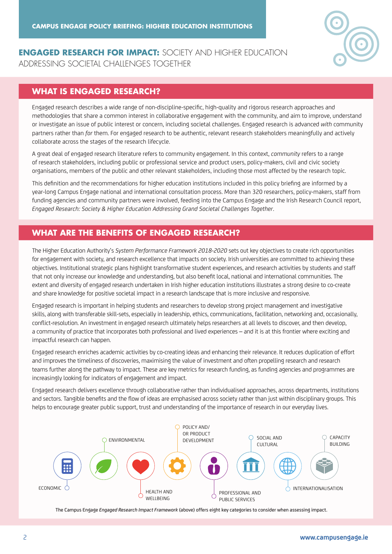

#### **ENGAGED RESEARCH FOR IMPACT:** SOCIETY AND HIGHER EDUCATION ADDRESSING SOCIETAL CHALLENGES TOGETHER

#### **WHAT IS ENGAGED RESEARCH?**

Engaged research describes a wide range of non-discipline-specific, high-quality and rigorous research approaches and methodologies that share a common interest in collaborative engagement with the community, and aim to improve, understand or investigate an issue of public interest or concern, including societal challenges. Engaged research is advanced *with* community partners rather than *for* them. For engaged research to be authentic, relevant research stakeholders meaningfully and actively collaborate across the stages of the research lifecycle.

A great deal of engaged research literature refers to community engagement. In this context, *community* refers to a range of research stakeholders, including public or professional service and product users, policy-makers, civil and civic society organisations, members of the public and other relevant stakeholders, including those most affected by the research topic.

This definition and the recommendations for higher education institutions included in this policy briefing are informed by a year-long Campus Engage national and international consultation process. More than 320 researchers, policy-makers, staff from funding agencies and community partners were involved, feeding into the Campus Engage and the Irish Research Council report, *Engaged Research: Society & Higher Education Addressing Grand Societal Challenges Together*.

#### **WHAT ARE THE BENEFITS OF ENGAGED RESEARCH?**

The Higher Education Authority's *System Performance Framework 2018-2020* sets out key objectives to create rich opportunities for engagement with society, and research excellence that impacts on society. Irish universities are committed to achieving these objectives. Institutional strategic plans highlight transformative student experiences, and research activities by students and staff that not only increase our knowledge and understanding, but also benefit local, national and international communities. The extent and diversity of engaged research undertaken in Irish higher education institutions illustrates a strong desire to co-create and share knowledge for positive societal impact in a research landscape that is more inclusive and responsive.

Engaged research is important in helping students and researchers to develop strong project management and investigative skills, along with transferable skill-sets, especially in leadership, ethics, communications, facilitation, networking and, occasionally, conflict-resolution. An investment in engaged research ultimately helps researchers at all levels to discover, and then develop, a community of practice that incorporates both professional and lived experiences – and it is at this frontier where exciting and impactful research can happen.

Engaged research enriches academic activities by co-creating ideas and enhancing their relevance. It reduces duplication of effort and improves the timeliness of discoveries, maximising the value of investment and often propelling research and research teams further along the pathway to impact. These are key metrics for research funding, as funding agencies and programmes are increasingly looking for indicators of engagement and impact.

Engaged research delivers excellence through collaborative rather than individualised approaches, across departments, institutions and sectors. Tangible benefits and the flow of ideas are emphasised across society rather than just within disciplinary groups. This helps to encourage greater public support, trust and understanding of the importance of research in our everyday lives.



The Campus Engage *Engaged Research Impact Framework* (above) offers eight key categories to consider when assessing impact.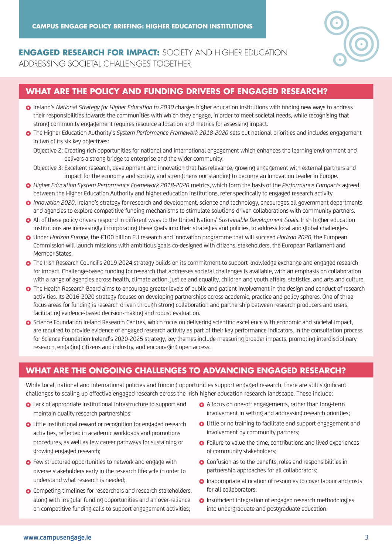

**ENGAGED RESEARCH FOR IMPACT:** SOCIETY AND HIGHER EDUCATION ADDRESSING SOCIETAL CHALLENGES TOGETHER

#### **WHAT ARE THE POLICY AND FUNDING DRIVERS OF ENGAGED RESEARCH?**

- Ireland's *National Strategy for Higher Education to 2030* charges higher education institutions with finding new ways to address their responsibilities towards the communities with which they engage, in order to meet societal needs, while recognising that strong community engagement requires resource allocation and metrics for assessing impact.
- The Higher Education Authority's *System Performance Framework 2018-2020* sets out national priorities and includes engagement in two of its six key objectives:

 Objective 2: Creating rich opportunities for national and international engagement which enhances the learning environment and delivers a strong bridge to enterprise and the wider community;

- Objective 3: Excellent research, development and innovation that has relevance, growing engagement with external partners and impact for the economy and society, and strengthens our standing to become an Innovation Leader in Europe.
- *Higher Education System Performance Framework 2018-2020* metrics, which form the basis of the *Performance Compacts* agreed between the Higher Education Authority and higher education institutions, refer specifically to engaged research activity.
- *Innovation 2020*, Ireland's strategy for research and development, science and technology, encourages all government departments and agencies to explore competitive funding mechanisms to stimulate solutions-driven collaborations with community partners.
- All of these policy drivers respond in different ways to the United Nations' *Sustainable Development Goals*. Irish higher education institutions are increasingly incorporating these goals into their strategies and policies, to address local and global challenges.
- Under *Horizon Europe*, the €100 billion EU research and innovation programme that will succeed *Horizon 2020*, the European Commission will launch missions with ambitious goals co-designed with citizens, stakeholders, the European Parliament and Member States.
- The Irish Research Council's 2019-2024 strategy builds on its commitment to support knowledge exchange and engaged research for impact. Challenge-based funding for research that addresses societal challenges is available, with an emphasis on collaboration with a range of agencies across health, climate action, justice and equality, children and youth affairs, statistics, and arts and culture.
- O The Health Research Board aims to encourage greater levels of public and patient involvement in the design and conduct of research activities. Its 2016-2020 strategy focuses on developing partnerships across academic, practice and policy spheres. One of three focus areas for funding is research driven through strong collaboration and partnership between research producers and users, facilitating evidence-based decision-making and robust evaluation.
- Science Foundation Ireland Research Centres, which focus on delivering scientific excellence with economic and societal impact, are required to provide evidence of engaged research activity as part of their key performance indicators. In the consultation process for Science Foundation Ireland's 2020-2025 strategy, key themes include measuring broader impacts, promoting interdisciplinary research, engaging citizens and industry, and encouraging open access.

#### **WHAT ARE THE ONGOING CHALLENGES TO ADVANCING ENGAGED RESEARCH?**

While local, national and international policies and funding opportunities support engaged research, there are still significant challenges to scaling up effective engaged research across the Irish higher education research landscape. These include:

- **Q** Lack of appropriate institutional infrastructure to support and maintain quality research partnerships;
- **O** Little institutional reward or recognition for engaged research activities, reflected in academic workloads and promotions procedures, as well as few career pathways for sustaining or growing engaged research;
- **O** Few structured opportunities to network and engage with diverse stakeholders early in the research lifecycle in order to understand what research is needed;
- **O** Competing timelines for researchers and research stakeholders, along with irregular funding opportunities and an over-reliance on competitive funding calls to support engagement activities;
- A focus on one-off engagements, rather than long-term involvement in setting and addressing research priorities;
- Little or no training to facilitate and support engagement and involvement by community partners;
- **O** Failure to value the time, contributions and lived experiences of community stakeholders;
- **O** Confusion as to the benefits, roles and responsibilities in partnership approaches for all collaborators;
- **O** Inappropriate allocation of resources to cover labour and costs for all collaborators;
- Insufficient integration of engaged research methodologies into undergraduate and postgraduate education.